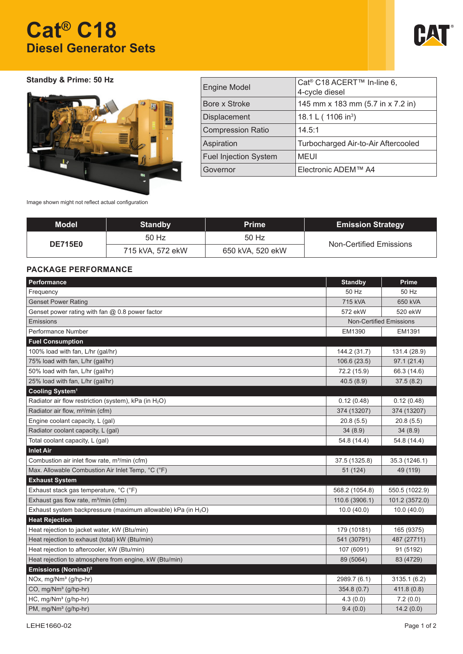# **Cat® C18 Diesel Generator Sets**



## **Standby & Prime: 50 Hz**



| <b>Engine Model</b>          | Cat <sup>®</sup> C18 ACERT <sup>™</sup> In-line 6,<br>4-cycle diesel |
|------------------------------|----------------------------------------------------------------------|
| Bore x Stroke                | 145 mm x 183 mm (5.7 in x 7.2 in)                                    |
| Displacement                 | 18.1 L (1106 in <sup>3</sup> )                                       |
| <b>Compression Ratio</b>     | 14.5:1                                                               |
| Aspiration                   | Turbocharged Air-to-Air Aftercooled                                  |
| <b>Fuel Injection System</b> | <b>MEUI</b>                                                          |
| Governor                     | Electronic ADEM™ A4                                                  |

Image shown might not reflect actual configuration

| <b>Model</b>   | <b>Standby</b>   | <b>Prime</b>     | <b>Emission Strategy</b> |  |
|----------------|------------------|------------------|--------------------------|--|
| <b>DE715E0</b> | 50 Hz            | 50 Hz            | Non-Certified Emissions  |  |
|                | 715 kVA, 572 ekW | 650 kVA, 520 ekW |                          |  |

## **PACKAGE PERFORMANCE**

| Performance                                                       | <b>Standby</b> | <b>Prime</b>                   |
|-------------------------------------------------------------------|----------------|--------------------------------|
| Frequency                                                         | 50 Hz          | 50 Hz                          |
| <b>Genset Power Rating</b>                                        | 715 kVA        | 650 kVA                        |
| Genset power rating with fan $@$ 0.8 power factor                 | 572 ekW        | 520 ekW                        |
| Emissions                                                         |                | <b>Non-Certified Emissions</b> |
| Performance Number                                                | EM1390         | EM1391                         |
| <b>Fuel Consumption</b>                                           |                |                                |
| 100% load with fan, L/hr (gal/hr)                                 | 144.2 (31.7)   | 131.4 (28.9)                   |
| 75% load with fan, L/hr (gal/hr)                                  | 106.6(23.5)    | 97.1(21.4)                     |
| 50% load with fan, L/hr (gal/hr)                                  | 72.2 (15.9)    | 66.3 (14.6)                    |
| 25% load with fan, L/hr (gal/hr)                                  | 40.5(8.9)      | 37.5(8.2)                      |
| Cooling System <sup>1</sup>                                       |                |                                |
| Radiator air flow restriction (system), kPa (in H <sub>2</sub> O) | 0.12(0.48)     | 0.12(0.48)                     |
| Radiator air flow, m <sup>g</sup> /min (cfm)                      | 374 (13207)    | 374 (13207)                    |
| Engine coolant capacity, L (gal)                                  | 20.8(5.5)      | 20.8(5.5)                      |
| Radiator coolant capacity, L (gal)                                | 34(8.9)        | 34(8.9)                        |
| Total coolant capacity, L (gal)                                   | 54.8 (14.4)    | 54.8 (14.4)                    |
| <b>Inlet Air</b>                                                  |                |                                |
| Combustion air inlet flow rate, m <sup>3</sup> /min (cfm)         | 37.5 (1325.8)  | 35.3 (1246.1)                  |
| Max. Allowable Combustion Air Inlet Temp, °C (°F)                 | 51 (124)       | 49 (119)                       |
| <b>Exhaust System</b>                                             |                |                                |
| Exhaust stack gas temperature, °C (°F)                            | 568.2 (1054.8) | 550.5 (1022.9)                 |
| Exhaust gas flow rate, m <sup>3</sup> /min (cfm)                  | 110.6 (3906.1) | 101.2 (3572.0)                 |
| Exhaust system backpressure (maximum allowable) kPa (in $H_2O$ )  | 10.0(40.0)     | 10.0(40.0)                     |
| <b>Heat Rejection</b>                                             |                |                                |
| Heat rejection to jacket water, kW (Btu/min)                      | 179 (10181)    | 165 (9375)                     |
| Heat rejection to exhaust (total) kW (Btu/min)                    | 541 (30791)    | 487 (27711)                    |
| Heat rejection to aftercooler, kW (Btu/min)                       | 107 (6091)     | 91 (5192)                      |
| Heat rejection to atmosphere from engine, kW (Btu/min)            | 89 (5064)      | 83 (4729)                      |
| Emissions (Nominal) <sup>2</sup>                                  |                |                                |
| NOx, mg/Nm <sup>3</sup> (g/hp-hr)                                 | 2989.7 (6.1)   | 3135.1 (6.2)                   |
| CO, mg/Nm <sup>3</sup> (g/hp-hr)                                  | 354.8 (0.7)    | 411.8(0.8)                     |
| $HC, mg/Nm3 (g/hp-hr)$                                            | 4.3(0.0)       | 7.2(0.0)                       |
| PM, mg/Nm <sup>3</sup> (g/hp-hr)                                  | 9.4(0.0)       | 14.2(0.0)                      |